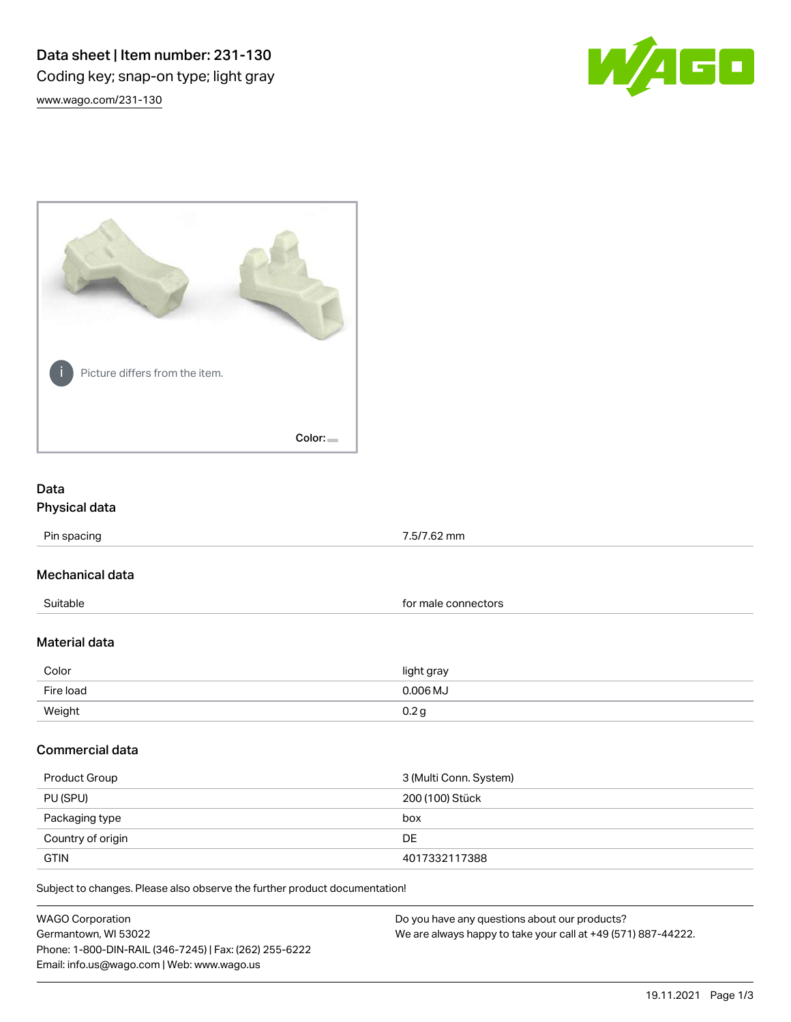Data sheet | Item number: 231-130 Coding key; snap-on type; light gray [www.wago.com/231-130](http://www.wago.com/231-130)





# Data Physical data

Pin spacing 2.5/7.62 mm

## Mechanical data

Suitable **for male connectors for male connectors** 

#### Material data

| Color     | light gray                |
|-----------|---------------------------|
| Fire load | $0.006$ MJ                |
| Weight    | $\mathsf{U}.\mathsf{Z}$ : |

#### Commercial data

| Product Group     | 3 (Multi Conn. System) |
|-------------------|------------------------|
| PU (SPU)          | 200 (100) Stück        |
| Packaging type    | box                    |
| Country of origin | DE                     |
| <b>GTIN</b>       | 4017332117388          |

Subject to changes. Please also observe the further product documentation!

| <b>WAGO Corporation</b>                                | Do you have any questions about our products?                 |
|--------------------------------------------------------|---------------------------------------------------------------|
| Germantown, WI 53022                                   | We are always happy to take your call at +49 (571) 887-44222. |
| Phone: 1-800-DIN-RAIL (346-7245)   Fax: (262) 255-6222 |                                                               |
| Email: info.us@wago.com   Web: www.wago.us             |                                                               |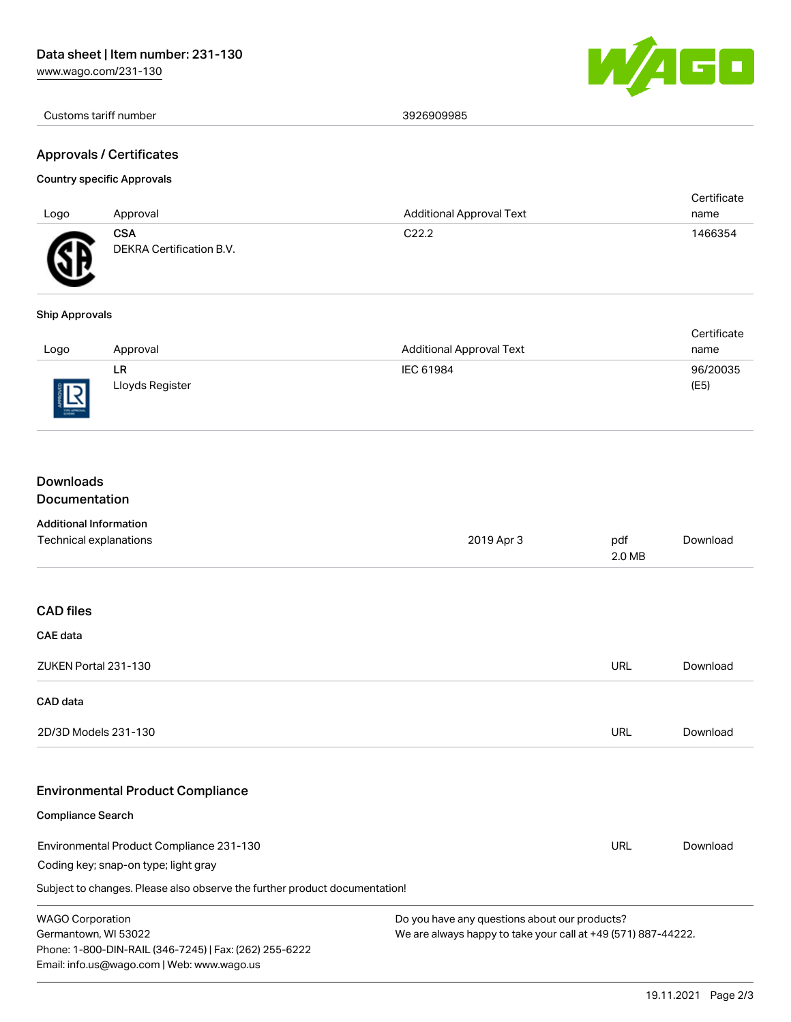[www.wago.com/231-130](http://www.wago.com/231-130)



Customs tariff number 3926909985

#### Approvals / Certificates

## Country specific Approvals

| Logo | Approval                        | <b>Additional Approval Text</b> | Certificate<br>name |
|------|---------------------------------|---------------------------------|---------------------|
| G)   | CSA<br>DEKRA Certification B.V. | C <sub>22.2</sub>               | 1466354             |

#### Ship Approvals

|            |                 |                                 | Certificate |
|------------|-----------------|---------------------------------|-------------|
| Logo       | Approval        | <b>Additional Approval Text</b> | name        |
|            | LR              | IEC 61984                       | 96/20035    |
| 同<br>8 L.N | Lloyds Register |                                 | (E5)        |

# Downloads

# Documentation

Email: info.us@wago.com | Web: www.wago.us

| <b>Additional Information</b>                                                  |                                                               |               |          |
|--------------------------------------------------------------------------------|---------------------------------------------------------------|---------------|----------|
| Technical explanations                                                         | 2019 Apr 3                                                    | pdf<br>2.0 MB | Download |
|                                                                                |                                                               |               |          |
| <b>CAD files</b>                                                               |                                                               |               |          |
| CAE data                                                                       |                                                               |               |          |
| ZUKEN Portal 231-130                                                           |                                                               | <b>URL</b>    | Download |
| <b>CAD</b> data                                                                |                                                               |               |          |
| 2D/3D Models 231-130                                                           |                                                               | URL           | Download |
| <b>Environmental Product Compliance</b>                                        |                                                               |               |          |
| <b>Compliance Search</b>                                                       |                                                               |               |          |
| Environmental Product Compliance 231-130                                       |                                                               | URL           | Download |
| Coding key; snap-on type; light gray                                           |                                                               |               |          |
| Subject to changes. Please also observe the further product documentation!     |                                                               |               |          |
| <b>WAGO Corporation</b>                                                        | Do you have any questions about our products?                 |               |          |
| Germantown, WI 53022<br>Phone: 1-800-DIN-RAIL (346-7245)   Fax: (262) 255-6222 | We are always happy to take your call at +49 (571) 887-44222. |               |          |